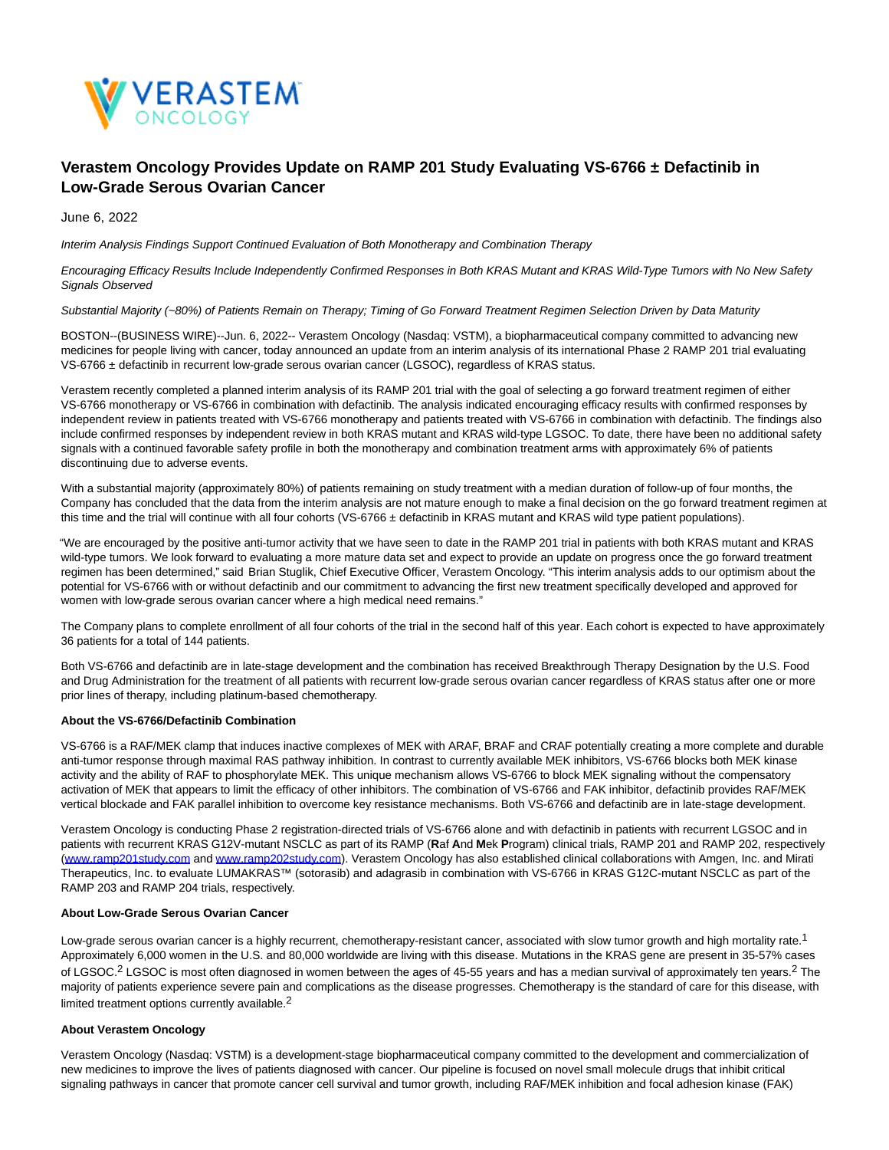

# **Verastem Oncology Provides Update on RAMP 201 Study Evaluating VS-6766 ± Defactinib in Low-Grade Serous Ovarian Cancer**

June 6, 2022

Interim Analysis Findings Support Continued Evaluation of Both Monotherapy and Combination Therapy

Encouraging Efficacy Results Include Independently Confirmed Responses in Both KRAS Mutant and KRAS Wild-Type Tumors with No New Safety Signals Observed

# Substantial Majority (~80%) of Patients Remain on Therapy; Timing of Go Forward Treatment Regimen Selection Driven by Data Maturity

BOSTON--(BUSINESS WIRE)--Jun. 6, 2022-- Verastem Oncology (Nasdaq: VSTM), a biopharmaceutical company committed to advancing new medicines for people living with cancer, today announced an update from an interim analysis of its international Phase 2 RAMP 201 trial evaluating VS-6766 ± defactinib in recurrent low-grade serous ovarian cancer (LGSOC), regardless of KRAS status.

Verastem recently completed a planned interim analysis of its RAMP 201 trial with the goal of selecting a go forward treatment regimen of either VS-6766 monotherapy or VS-6766 in combination with defactinib. The analysis indicated encouraging efficacy results with confirmed responses by independent review in patients treated with VS-6766 monotherapy and patients treated with VS-6766 in combination with defactinib. The findings also include confirmed responses by independent review in both KRAS mutant and KRAS wild-type LGSOC. To date, there have been no additional safety signals with a continued favorable safety profile in both the monotherapy and combination treatment arms with approximately 6% of patients discontinuing due to adverse events.

With a substantial majority (approximately 80%) of patients remaining on study treatment with a median duration of follow-up of four months, the Company has concluded that the data from the interim analysis are not mature enough to make a final decision on the go forward treatment regimen at this time and the trial will continue with all four cohorts (VS-6766 ± defactinib in KRAS mutant and KRAS wild type patient populations).

"We are encouraged by the positive anti-tumor activity that we have seen to date in the RAMP 201 trial in patients with both KRAS mutant and KRAS wild-type tumors. We look forward to evaluating a more mature data set and expect to provide an update on progress once the go forward treatment regimen has been determined," said Brian Stuglik, Chief Executive Officer, Verastem Oncology. "This interim analysis adds to our optimism about the potential for VS-6766 with or without defactinib and our commitment to advancing the first new treatment specifically developed and approved for women with low-grade serous ovarian cancer where a high medical need remains."

The Company plans to complete enrollment of all four cohorts of the trial in the second half of this year. Each cohort is expected to have approximately 36 patients for a total of 144 patients.

Both VS-6766 and defactinib are in late-stage development and the combination has received Breakthrough Therapy Designation by the U.S. Food and Drug Administration for the treatment of all patients with recurrent low-grade serous ovarian cancer regardless of KRAS status after one or more prior lines of therapy, including platinum-based chemotherapy.

# **About the VS-6766/Defactinib Combination**

VS-6766 is a RAF/MEK clamp that induces inactive complexes of MEK with ARAF, BRAF and CRAF potentially creating a more complete and durable anti-tumor response through maximal RAS pathway inhibition. In contrast to currently available MEK inhibitors, VS-6766 blocks both MEK kinase activity and the ability of RAF to phosphorylate MEK. This unique mechanism allows VS-6766 to block MEK signaling without the compensatory activation of MEK that appears to limit the efficacy of other inhibitors. The combination of VS-6766 and FAK inhibitor, defactinib provides RAF/MEK vertical blockade and FAK parallel inhibition to overcome key resistance mechanisms. Both VS-6766 and defactinib are in late-stage development.

Verastem Oncology is conducting Phase 2 registration-directed trials of VS-6766 alone and with defactinib in patients with recurrent LGSOC and in patients with recurrent KRAS G12V-mutant NSCLC as part of its RAMP (**R**af **A**nd **M**ek **P**rogram) clinical trials, RAMP 201 and RAMP 202, respectively [\(www.ramp201study.com a](https://cts.businesswire.com/ct/CT?id=smartlink&url=http%3A%2F%2Fwww.ramp201study.com&esheet=52739845&newsitemid=20220606005303&lan=en-US&anchor=www.ramp201study.com&index=1&md5=7c87a8c85d38b6361ef70e5ddf3bddef)nd [www.ramp202study.com\).](https://cts.businesswire.com/ct/CT?id=smartlink&url=http%3A%2F%2Fwww.ramp202study.com&esheet=52739845&newsitemid=20220606005303&lan=en-US&anchor=www.ramp202study.com&index=2&md5=e08f39cd3f1f84a8dccfe6e0f2aeffe2) Verastem Oncology has also established clinical collaborations with Amgen, Inc. and Mirati Therapeutics, Inc. to evaluate LUMAKRAS™ (sotorasib) and adagrasib in combination with VS-6766 in KRAS G12C-mutant NSCLC as part of the RAMP 203 and RAMP 204 trials, respectively.

## **About Low-Grade Serous Ovarian Cancer**

Low-grade serous ovarian cancer is a highly recurrent, chemotherapy-resistant cancer, associated with slow tumor growth and high mortality rate.<sup>1</sup> Approximately 6,000 women in the U.S. and 80,000 worldwide are living with this disease. Mutations in the KRAS gene are present in 35-57% cases of LGSOC.<sup>2</sup> LGSOC is most often diagnosed in women between the ages of 45-55 years and has a median survival of approximately ten years.<sup>2</sup> The majority of patients experience severe pain and complications as the disease progresses. Chemotherapy is the standard of care for this disease, with limited treatment options currently available.<sup>2</sup>

## **About Verastem Oncology**

Verastem Oncology (Nasdaq: VSTM) is a development-stage biopharmaceutical company committed to the development and commercialization of new medicines to improve the lives of patients diagnosed with cancer. Our pipeline is focused on novel small molecule drugs that inhibit critical signaling pathways in cancer that promote cancer cell survival and tumor growth, including RAF/MEK inhibition and focal adhesion kinase (FAK)